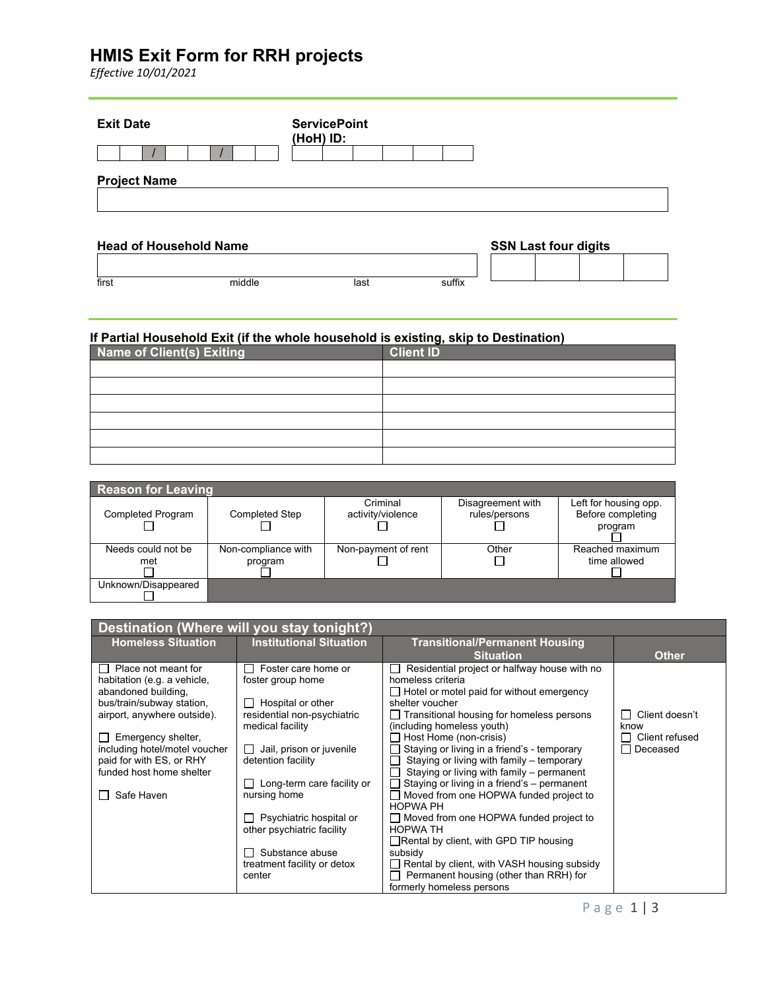# **HMIS Exit Form for RRH projects**

*Effective 10/01/2021*

| <b>Exit Date</b>              | <b>ServicePoint</b><br>(HoH) ID: |                             |
|-------------------------------|----------------------------------|-----------------------------|
| <b>Project Name</b>           |                                  |                             |
| <b>Head of Household Name</b> |                                  | <b>SSN Last four digits</b> |
|                               |                                  |                             |

### **If Partial Household Exit (if the whole household is existing, skip to Destination)**

first middle last suffix

| Name of Client(s) Exiting | <b>Client ID</b> |
|---------------------------|------------------|
|                           |                  |
|                           |                  |
|                           |                  |
|                           |                  |
|                           |                  |
|                           |                  |

| <b>Reason for Leaving</b> |                       |                     |                   |                       |  |  |
|---------------------------|-----------------------|---------------------|-------------------|-----------------------|--|--|
|                           |                       | Criminal            | Disagreement with | Left for housing opp. |  |  |
| <b>Completed Program</b>  | <b>Completed Step</b> | activity/violence   | rules/persons     | Before completing     |  |  |
|                           |                       |                     |                   | program               |  |  |
|                           |                       |                     |                   |                       |  |  |
| Needs could not be        | Non-compliance with   | Non-payment of rent | Other             | Reached maximum       |  |  |
| met                       | program               |                     |                   | time allowed          |  |  |
|                           |                       |                     |                   |                       |  |  |
| Unknown/Disappeared       |                       |                     |                   |                       |  |  |
|                           |                       |                     |                   |                       |  |  |

| Destination (Where will you stay tonight?)                |                                                |                                                                                          |                |
|-----------------------------------------------------------|------------------------------------------------|------------------------------------------------------------------------------------------|----------------|
| <b>Homeless Situation</b>                                 | <b>Institutional Situation</b>                 | <b>Transitional/Permanent Housing</b>                                                    |                |
|                                                           |                                                | <b>Situation</b>                                                                         | <b>Other</b>   |
| $\Box$ Place not meant for<br>habitation (e.g. a vehicle, | Foster care home or<br>foster group home       | Residential project or halfway house with no<br>homeless criteria                        |                |
| abandoned building,                                       |                                                | $\Box$ Hotel or motel paid for without emergency                                         |                |
| bus/train/subway station,                                 | Hospital or other                              | shelter voucher                                                                          |                |
| airport, anywhere outside).                               | residential non-psychiatric                    | $\Box$ Transitional housing for homeless persons                                         | Client doesn't |
|                                                           | medical facility                               | (including homeless youth)                                                               | know           |
| Emergency shelter,                                        |                                                | Host Home (non-crisis)                                                                   | Client refused |
| including hotel/motel voucher<br>paid for with ES, or RHY | Jail, prison or juvenile<br>detention facility | Staying or living in a friend's - temporary<br>Staying or living with family - temporary | Deceased       |
| funded host home shelter                                  |                                                | Staying or living with family - permanent                                                |                |
|                                                           | Long-term care facility or                     | Staying or living in a friend's - permanent                                              |                |
| Safe Haven                                                | nursing home                                   | Moved from one HOPWA funded project to                                                   |                |
|                                                           |                                                | <b>HOPWA PH</b>                                                                          |                |
|                                                           | Psychiatric hospital or                        | □ Moved from one HOPWA funded project to                                                 |                |
|                                                           | other psychiatric facility                     | <b>HOPWA TH</b><br>$\Box$ Rental by client, with GPD TIP housing                         |                |
|                                                           | Substance abuse                                | subsidy                                                                                  |                |
|                                                           | treatment facility or detox                    | Rental by client, with VASH housing subsidy                                              |                |
|                                                           | center                                         | Permanent housing (other than RRH) for                                                   |                |
|                                                           |                                                | formerly homeless persons                                                                |                |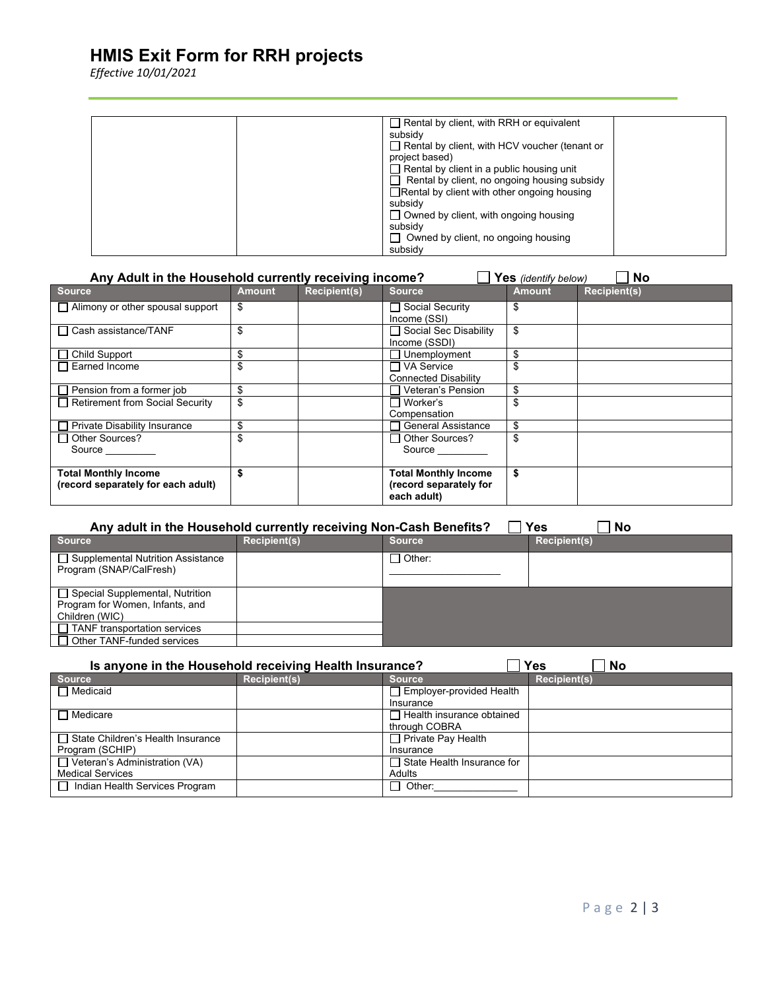# **HMIS Exit Form for RRH projects**

*Effective 10/01/2021*

| $\Box$ Rental by client, with RRH or equivalent      |
|------------------------------------------------------|
| subsidy                                              |
| $\Box$ Rental by client, with HCV voucher (tenant or |
| project based)                                       |
| $\Box$ Rental by client in a public housing unit     |
| Rental by client, no ongoing housing subsidy         |
| $\Box$ Rental by client with other ongoing housing   |
| subsidy                                              |
| $\Box$ Owned by client, with ongoing housing         |
| subsidy                                              |
| $\Box$ Owned by client, no ongoing housing           |
| subsidy                                              |

| Any Adult in the Household currently receiving income?<br><b>No</b><br>Yes (identify below) |               |                     |                                                                      |               |                     |
|---------------------------------------------------------------------------------------------|---------------|---------------------|----------------------------------------------------------------------|---------------|---------------------|
| <b>Source</b>                                                                               | <b>Amount</b> | <b>Recipient(s)</b> | <b>Source</b>                                                        | <b>Amount</b> | <b>Recipient(s)</b> |
| $\Box$ Alimony or other spousal support                                                     | \$            |                     | □ Social Security<br>Income (SSI)                                    | S             |                     |
| □ Cash assistance/TANF                                                                      | \$            |                     | □ Social Sec Disability<br>Income (SSDI)                             | \$            |                     |
| $\Box$ Child Support                                                                        | \$            |                     | Unemployment                                                         | \$.           |                     |
| Earned Income                                                                               |               |                     | ヿVA Service<br><b>Connected Disability</b>                           |               |                     |
| $\Box$ Pension from a former job                                                            | \$            |                     | Veteran's Pension                                                    | \$            |                     |
| Retirement from Social Security                                                             | \$            |                     | ⊟ Worker's<br>Compensation                                           |               |                     |
| <b>Private Disability Insurance</b>                                                         | \$            |                     | <b>General Assistance</b>                                            |               |                     |
| □ Other Sources?<br>Source                                                                  | \$            |                     | $\Box$ Other Sources?<br>Source                                      |               |                     |
| <b>Total Monthly Income</b><br>(record separately for each adult)                           |               |                     | <b>Total Monthly Income</b><br>(record separately for<br>each adult) | \$            |                     |

| Any adult in the Household currently receiving Non-Cash Benefits?<br>Yes<br>No |                     |                 |                     |  |  |
|--------------------------------------------------------------------------------|---------------------|-----------------|---------------------|--|--|
| <b>Source</b>                                                                  | <b>Recipient(s)</b> | <b>Source</b>   | <b>Recipient(s)</b> |  |  |
| □ Supplemental Nutrition Assistance<br>Program (SNAP/CalFresh)                 |                     | $\sqcap$ Other: |                     |  |  |
| □ Special Supplemental, Nutrition<br>Program for Women, Infants, and           |                     |                 |                     |  |  |
| Children (WIC)                                                                 |                     |                 |                     |  |  |
| $\Box$ TANF transportation services                                            |                     |                 |                     |  |  |
| $\Box$ Other TANF-funded services                                              |                     |                 |                     |  |  |

| Yes<br>Is anyone in the Household receiving Health Insurance?<br><b>No</b> |                     |                                   |                     |  |
|----------------------------------------------------------------------------|---------------------|-----------------------------------|---------------------|--|
| <b>Source</b>                                                              | <b>Recipient(s)</b> | <b>Source</b>                     | <b>Recipient(s)</b> |  |
| $\Box$ Medicaid                                                            |                     | Employer-provided Health          |                     |  |
|                                                                            |                     | Insurance                         |                     |  |
| $\Box$ Medicare                                                            |                     | $\Box$ Health insurance obtained  |                     |  |
|                                                                            |                     | through COBRA                     |                     |  |
| □ State Children's Health Insurance                                        |                     | $\Box$ Private Pay Health         |                     |  |
| Program (SCHIP)                                                            |                     | Insurance                         |                     |  |
| $\Box$ Veteran's Administration (VA)                                       |                     | $\Box$ State Health Insurance for |                     |  |
| <b>Medical Services</b>                                                    |                     | Adults                            |                     |  |
| □ Indian Health Services Program                                           |                     | $\Box$ Other:                     |                     |  |